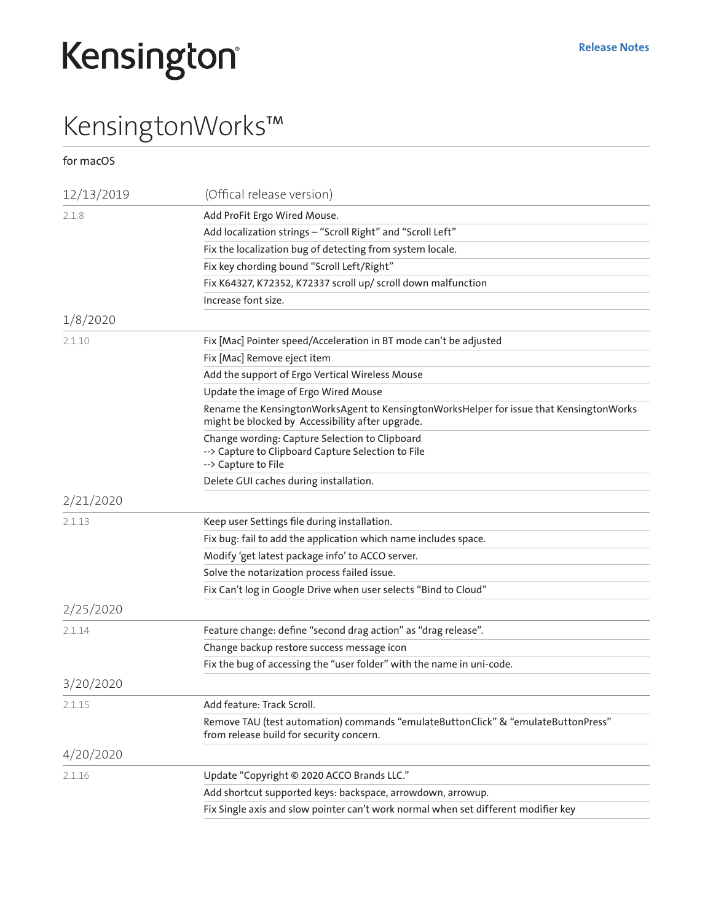## Kensington®

## KensingtonWorks™

for macOS

| 12/13/2019 | (Offical release version)                                                                                                                   |
|------------|---------------------------------------------------------------------------------------------------------------------------------------------|
| 2.1.8      | Add ProFit Ergo Wired Mouse.                                                                                                                |
|            | Add localization strings - "Scroll Right" and "Scroll Left"                                                                                 |
|            | Fix the localization bug of detecting from system locale.                                                                                   |
|            | Fix key chording bound "Scroll Left/Right"                                                                                                  |
|            | Fix K64327, K72352, K72337 scroll up/ scroll down malfunction                                                                               |
|            | Increase font size.                                                                                                                         |
| 1/8/2020   |                                                                                                                                             |
| 2.1.10     | Fix [Mac] Pointer speed/Acceleration in BT mode can't be adjusted                                                                           |
|            | Fix [Mac] Remove eject item                                                                                                                 |
|            | Add the support of Ergo Vertical Wireless Mouse                                                                                             |
|            | Update the image of Ergo Wired Mouse                                                                                                        |
|            | Rename the KensingtonWorksAgent to KensingtonWorksHelper for issue that KensingtonWorks<br>might be blocked by Accessibility after upgrade. |
|            | Change wording: Capture Selection to Clipboard<br>-- > Capture to Clipboard Capture Selection to File<br>-- > Capture to File               |
|            | Delete GUI caches during installation.                                                                                                      |
| 2/21/2020  |                                                                                                                                             |
| 2.1.13     | Keep user Settings file during installation.                                                                                                |
|            | Fix bug: fail to add the application which name includes space.                                                                             |
|            | Modify 'get latest package info' to ACCO server.                                                                                            |
|            | Solve the notarization process failed issue.                                                                                                |
|            | Fix Can't log in Google Drive when user selects "Bind to Cloud"                                                                             |
| 2/25/2020  |                                                                                                                                             |
| 2.1.14     | Feature change: define "second drag action" as "drag release".                                                                              |
|            | Change backup restore success message icon                                                                                                  |
|            | Fix the bug of accessing the "user folder" with the name in uni-code.                                                                       |
| 3/20/2020  |                                                                                                                                             |
| 2.1.15     | Add feature: Track Scroll.                                                                                                                  |
|            | Remove TAU (test automation) commands "emulateButtonClick" & "emulateButtonPress"<br>from release build for security concern.               |
| 4/20/2020  |                                                                                                                                             |
| 2.1.16     | Update "Copyright © 2020 ACCO Brands LLC."                                                                                                  |
|            | Add shortcut supported keys: backspace, arrowdown, arrowup.                                                                                 |
|            | Fix Single axis and slow pointer can't work normal when set different modifier key                                                          |
|            |                                                                                                                                             |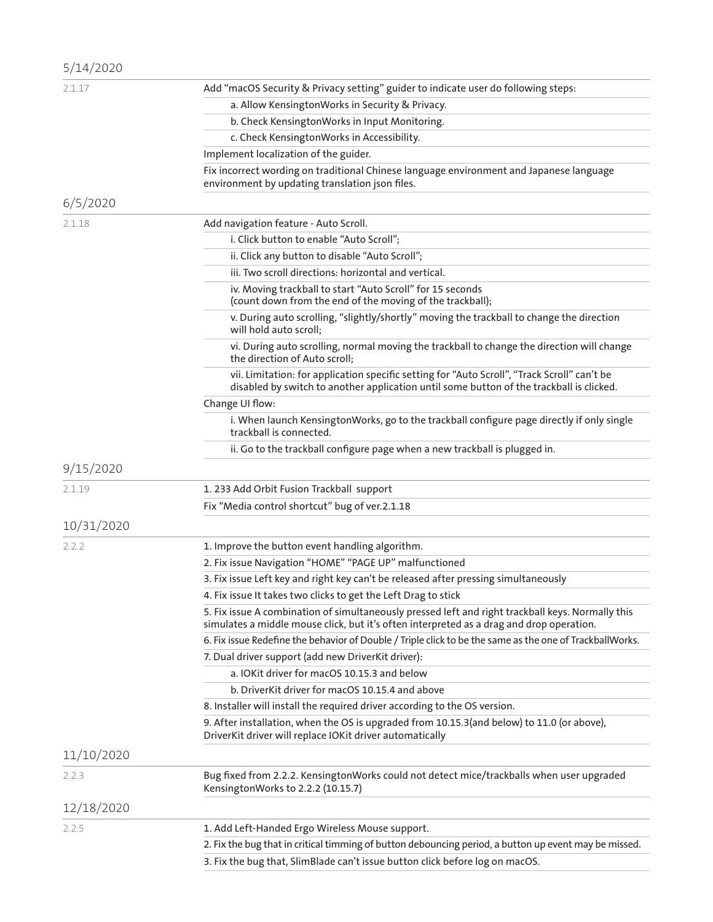| 5/14/2020  |                                                                                                                                                                                               |
|------------|-----------------------------------------------------------------------------------------------------------------------------------------------------------------------------------------------|
| 2.1.17     | Add "macOS Security & Privacy setting" guider to indicate user do following steps:                                                                                                            |
|            | a. Allow KensingtonWorks in Security & Privacy.                                                                                                                                               |
|            | b. Check KensingtonWorks in Input Monitoring.                                                                                                                                                 |
|            | c. Check KensingtonWorks in Accessibility.                                                                                                                                                    |
|            | Implement localization of the guider.                                                                                                                                                         |
|            | Fix incorrect wording on traditional Chinese language environment and Japanese language<br>environment by updating translation json files.                                                    |
| 6/5/2020   |                                                                                                                                                                                               |
| 2.1.18     | Add navigation feature - Auto Scroll.                                                                                                                                                         |
|            | i. Click button to enable "Auto Scroll";                                                                                                                                                      |
|            | ii. Click any button to disable "Auto Scroll";                                                                                                                                                |
|            | iii. Two scroll directions: horizontal and vertical.                                                                                                                                          |
|            | iv. Moving trackball to start "Auto Scroll" for 15 seconds<br>(count down from the end of the moving of the trackball);                                                                       |
|            | v. During auto scrolling, "slightly/shortly" moving the trackball to change the direction<br>will hold auto scroll:                                                                           |
|            | vi. During auto scrolling, normal moving the trackball to change the direction will change<br>the direction of Auto scroll;                                                                   |
|            | vii. Limitation: for application specific setting for "Auto Scroll", "Track Scroll" can't be<br>disabled by switch to another application until some button of the trackball is clicked.      |
|            | Change UI flow:                                                                                                                                                                               |
|            | i. When launch KensingtonWorks, go to the trackball configure page directly if only single<br>trackball is connected.                                                                         |
|            | ii. Go to the trackball configure page when a new trackball is plugged in.                                                                                                                    |
| 9/15/2020  |                                                                                                                                                                                               |
| 2.1.19     | 1. 233 Add Orbit Fusion Trackball support                                                                                                                                                     |
|            | Fix "Media control shortcut" bug of ver.2.1.18                                                                                                                                                |
| 10/31/2020 |                                                                                                                                                                                               |
| 2.2.2      | 1. Improve the button event handling algorithm.                                                                                                                                               |
|            | 2. Fix issue Navigation "HOME" "PAGE UP" malfunctioned                                                                                                                                        |
|            | 3. Fix issue Left key and right key can't be released after pressing simultaneously                                                                                                           |
|            | 4. Fix issue It takes two clicks to get the Left Drag to stick                                                                                                                                |
|            | 5. Fix issue A combination of simultaneously pressed left and right trackball keys. Normally this<br>simulates a middle mouse click, but it's often interpreted as a drag and drop operation. |
|            | 6. Fix issue Redefine the behavior of Double / Triple click to be the same as the one of TrackballWorks.                                                                                      |
|            | 7. Dual driver support (add new DriverKit driver):                                                                                                                                            |
|            | a. IOKit driver for macOS 10.15.3 and below                                                                                                                                                   |
|            | b. DriverKit driver for macOS 10.15.4 and above                                                                                                                                               |
|            | 8. Installer will install the required driver according to the OS version.                                                                                                                    |
|            | 9. After installation, when the OS is upgraded from 10.15.3(and below) to 11.0 (or above),<br>DriverKit driver will replace IOKit driver automatically                                        |
| 11/10/2020 |                                                                                                                                                                                               |
| 2.2.3      | Bug fixed from 2.2.2. KensingtonWorks could not detect mice/trackballs when user upgraded<br>KensingtonWorks to 2.2.2 (10.15.7)                                                               |
| 12/18/2020 |                                                                                                                                                                                               |
| 2.2.5      | 1. Add Left-Handed Ergo Wireless Mouse support.                                                                                                                                               |
|            | 2. Fix the bug that in critical timming of button debouncing period, a button up event may be missed.                                                                                         |
|            | 3. Fix the bug that, SlimBlade can't issue button click before log on macOS.                                                                                                                  |
|            |                                                                                                                                                                                               |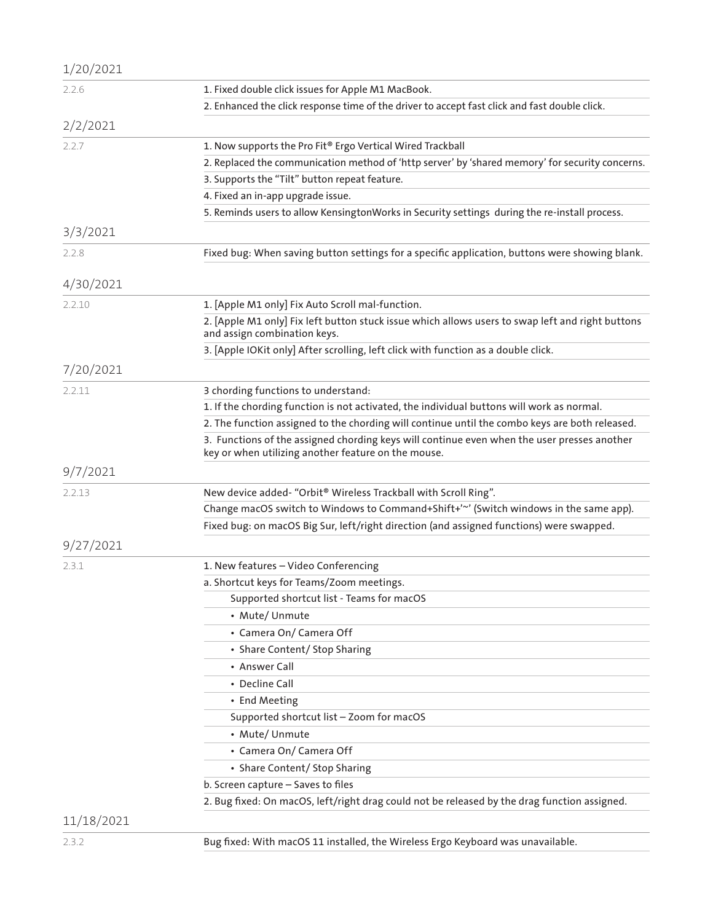| 1/20/2021  |                                                                                                                                                    |
|------------|----------------------------------------------------------------------------------------------------------------------------------------------------|
| 2.2.6      | 1. Fixed double click issues for Apple M1 MacBook.                                                                                                 |
|            | 2. Enhanced the click response time of the driver to accept fast click and fast double click.                                                      |
| 2/2/2021   |                                                                                                                                                    |
| 2.2.7      | 1. Now supports the Pro Fit® Ergo Vertical Wired Trackball                                                                                         |
|            | 2. Replaced the communication method of 'http server' by 'shared memory' for security concerns.                                                    |
|            | 3. Supports the "Tilt" button repeat feature.                                                                                                      |
|            | 4. Fixed an in-app upgrade issue.                                                                                                                  |
|            | 5. Reminds users to allow KensingtonWorks in Security settings during the re-install process.                                                      |
| 3/3/2021   |                                                                                                                                                    |
| 2.2.8      | Fixed bug: When saving button settings for a specific application, buttons were showing blank.                                                     |
|            |                                                                                                                                                    |
| 4/30/2021  |                                                                                                                                                    |
| 2.2.10     | 1. [Apple M1 only] Fix Auto Scroll mal-function.                                                                                                   |
|            | 2. [Apple M1 only] Fix left button stuck issue which allows users to swap left and right buttons<br>and assign combination keys.                   |
|            | 3. [Apple IOKit only] After scrolling, left click with function as a double click.                                                                 |
| 7/20/2021  |                                                                                                                                                    |
| 2.2.11     | 3 chording functions to understand:                                                                                                                |
|            | 1. If the chording function is not activated, the individual buttons will work as normal.                                                          |
|            | 2. The function assigned to the chording will continue until the combo keys are both released.                                                     |
|            | 3. Functions of the assigned chording keys will continue even when the user presses another<br>key or when utilizing another feature on the mouse. |
| 9/7/2021   |                                                                                                                                                    |
| 2.2.13     | New device added- "Orbit® Wireless Trackball with Scroll Ring".                                                                                    |
|            | Change macOS switch to Windows to Command+Shift+'~' (Switch windows in the same app).                                                              |
|            | Fixed bug: on macOS Big Sur, left/right direction (and assigned functions) were swapped.                                                           |
| 9/27/2021  |                                                                                                                                                    |
| 2.3.1      | 1. New features - Video Conferencing                                                                                                               |
|            | a. Shortcut keys for Teams/Zoom meetings.                                                                                                          |
|            | Supported shortcut list - Teams for macOS                                                                                                          |
|            | • Mute/ Unmute                                                                                                                                     |
|            | • Camera On/ Camera Off                                                                                                                            |
|            | • Share Content/ Stop Sharing                                                                                                                      |
|            | • Answer Call                                                                                                                                      |
|            | • Decline Call                                                                                                                                     |
|            | • End Meeting                                                                                                                                      |
|            | Supported shortcut list - Zoom for macOS                                                                                                           |
|            | • Mute/ Unmute                                                                                                                                     |
|            | • Camera On/ Camera Off                                                                                                                            |
|            | • Share Content/ Stop Sharing                                                                                                                      |
|            | b. Screen capture - Saves to files                                                                                                                 |
|            | 2. Bug fixed: On macOS, left/right drag could not be released by the drag function assigned.                                                       |
| 11/18/2021 |                                                                                                                                                    |
| 2.3.2      | Bug fixed: With macOS 11 installed, the Wireless Ergo Keyboard was unavailable.                                                                    |